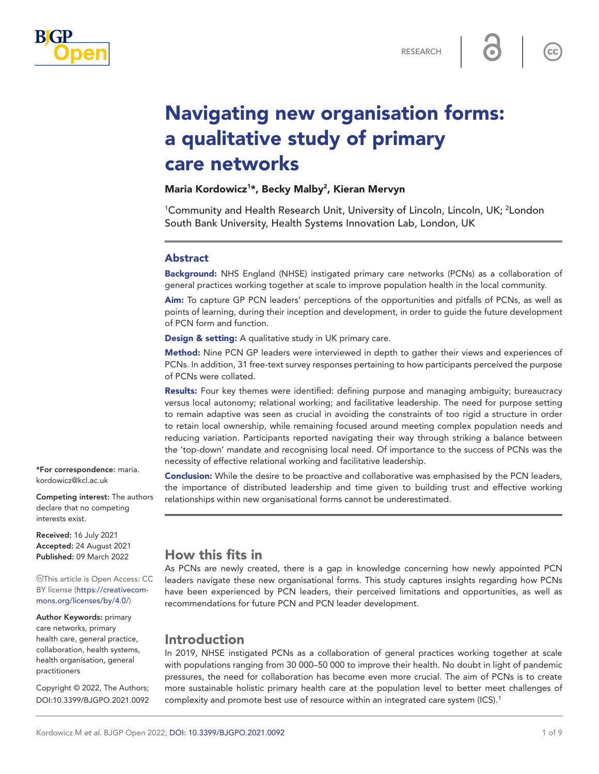

 $cc$ 

# Navigating new organisation forms: a qualitative study of primary care networks

## Maria Kordowicz<sup>1\*</sup>, Becky Malby<sup>2</sup>, Kieran Mervyn

<sup>1</sup>Community and Health Research Unit, University of Lincoln, Lincoln, UK; <sup>2</sup>London South Bank University, Health Systems Innovation Lab, London, UK

#### Abstract

Background: NHS England (NHSE) instigated primary care networks (PCNs) as a collaboration of general practices working together at scale to improve population health in the local community.

Aim: To capture GP PCN leaders' perceptions of the opportunities and pitfalls of PCNs, as well as points of learning, during their inception and development, in order to guide the future development of PCN form and function.

Design & setting: A qualitative study in UK primary care.

Method: Nine PCN GP leaders were interviewed in depth to gather their views and experiences of PCNs. In addition, 31 free-text survey responses pertaining to how participants perceived the purpose of PCNs were collated.

Results: Four key themes were identified: defining purpose and managing ambiguity; bureaucracy versus local autonomy; relational working; and facilitative leadership. The need for purpose setting to remain adaptive was seen as crucial in avoiding the constraints of too rigid a structure in order to retain local ownership, while remaining focused around meeting complex population needs and reducing variation. Participants reported navigating their way through striking a balance between the 'top-down' mandate and recognising local need. Of importance to the success of PCNs was the necessity of effective relational working and facilitative leadership.

Conclusion: While the desire to be proactive and collaborative was emphasised by the PCN leaders, the importance of distributed leadership and time given to building trust and effective working relationships within new organisational forms cannot be underestimated.

#### \*For correspondence: [maria.](mailto:maria.kordowicz@kcl.ac.uk) [kordowicz@kcl.ac.uk](mailto:maria.kordowicz@kcl.ac.uk)

Competing interest: The authors declare that no competing interests exist.

Received: 16 July 2021 Accepted: 24 August 2021 Published: 09 March 2022

This article is Open Access: CC BY license [\(https://creativecom](https://creativecommons.org/licenses/by/4.0/)[mons.org/licenses/by/4.0/\)](https://creativecommons.org/licenses/by/4.0/)

Author Keywords: primary care networks, primary health care, general practice, collaboration, health systems, health organisation, general practitioners

Copyright © 2022, The Authors; DOI:10.3399/BJGPO.2021.0092

# How this fits in

As PCNs are newly created, there is a gap in knowledge concerning how newly appointed PCN leaders navigate these new organisational forms. This study captures insights regarding how PCNs have been experienced by PCN leaders, their perceived limitations and opportunities, as well as recommendations for future PCN and PCN leader development.

# Introduction

In 2019, NHSE instigated PCNs as a collaboration of general practices working together at scale with populations ranging from 30 000–50 000 to improve their health. No doubt in light of pandemic pressures, the need for collaboration has become even more crucial. The aim of PCNs is to create more sustainable holistic primary health care at the population level to better meet challenges of complexity and promote best use of resource within an integrated care system (ICS).*[1](#page-7-0)*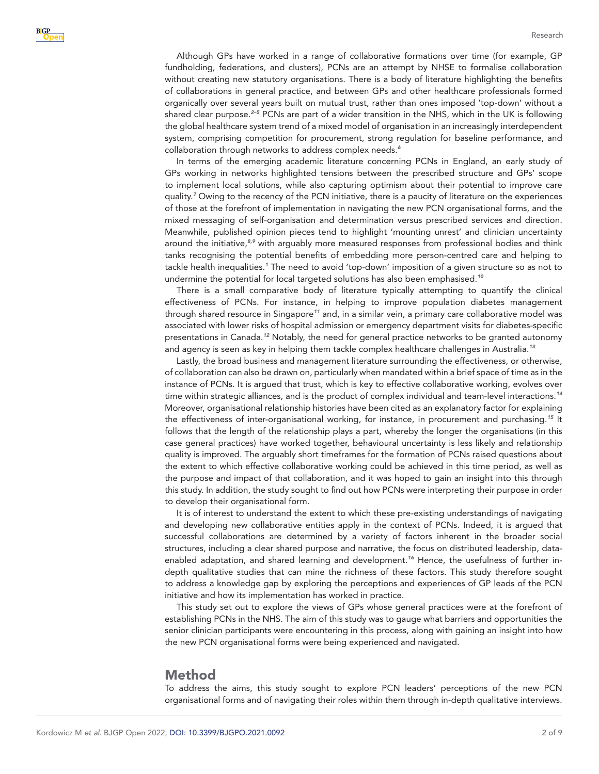Although GPs have worked in a range of collaborative formations over time (for example, GP fundholding, federations, and clusters), PCNs are an attempt by NHSE to formalise collaboration without creating new statutory organisations. There is a body of literature highlighting the benefits of collaborations in general practice, and between GPs and other healthcare professionals formed organically over several years built on mutual trust, rather than ones imposed 'top-down' without a shared clear purpose.*[2–5](#page-7-1)* PCNs are part of a wider transition in the NHS, which in the UK is following the global healthcare system trend of a mixed model of organisation in an increasingly interdependent system, comprising competition for procurement, strong regulation for baseline performance, and collaboration through networks to address complex needs.*[6](#page-7-2)*

In terms of the emerging academic literature concerning PCNs in England, an early study of GPs working in networks highlighted tensions between the prescribed structure and GPs' scope to implement local solutions, while also capturing optimism about their potential to improve care quality.*[7](#page-7-3)* Owing to the recency of the PCN initiative, there is a paucity of literature on the experiences of those at the forefront of implementation in navigating the new PCN organisational forms, and the mixed messaging of self-organisation and determination versus prescribed services and direction. Meanwhile, published opinion pieces tend to highlight 'mounting unrest' and clinician uncertainty around the initiative,*[8,9](#page-7-4)* with arguably more measured responses from professional bodies and think tanks recognising the potential benefits of embedding more person-centred care and helping to tackle health inequalities.*[1](#page-7-0)* The need to avoid 'top-down' imposition of a given structure so as not to undermine the potential for local targeted solutions has also been emphasised.*[10](#page-7-5)*

There is a small comparative body of literature typically attempting to quantify the clinical effectiveness of PCNs. For instance, in helping to improve population diabetes management through shared resource in Singapore*[11](#page-7-6)* and, in a similar vein, a primary care collaborative model was associated with lower risks of hospital admission or emergency department visits for diabetes-specific presentations in Canada.*[12](#page-7-7)* Notably, the need for general practice networks to be granted autonomy and agency is seen as key in helping them tackle complex healthcare challenges in Australia.*[13](#page-8-0)*

Lastly, the broad business and management literature surrounding the effectiveness, or otherwise, of collaboration can also be drawn on, particularly when mandated within a brief space of time as in the instance of PCNs. It is argued that trust, which is key to effective collaborative working, evolves over time within strategic alliances, and is the product of complex individual and team-level interactions.*[14](#page-8-1)* Moreover, organisational relationship histories have been cited as an explanatory factor for explaining the effectiveness of inter-organisational working, for instance, in procurement and purchasing.*[15](#page-8-2)* It follows that the length of the relationship plays a part, whereby the longer the organisations (in this case general practices) have worked together, behavioural uncertainty is less likely and relationship quality is improved. The arguably short timeframes for the formation of PCNs raised questions about the extent to which effective collaborative working could be achieved in this time period, as well as the purpose and impact of that collaboration, and it was hoped to gain an insight into this through this study. In addition, the study sought to find out how PCNs were interpreting their purpose in order to develop their organisational form.

It is of interest to understand the extent to which these pre-existing understandings of navigating and developing new collaborative entities apply in the context of PCNs. Indeed, it is argued that successful collaborations are determined by a variety of factors inherent in the broader social structures, including a clear shared purpose and narrative, the focus on distributed leadership, dataenabled adaptation, and shared learning and development.*[16](#page-8-3)* Hence, the usefulness of further indepth qualitative studies that can mine the richness of these factors. This study therefore sought to address a knowledge gap by exploring the perceptions and experiences of GP leads of the PCN initiative and how its implementation has worked in practice.

This study set out to explore the views of GPs whose general practices were at the forefront of establishing PCNs in the NHS. The aim of this study was to gauge what barriers and opportunities the senior clinician participants were encountering in this process, along with gaining an insight into how the new PCN organisational forms were being experienced and navigated.

#### Method

To address the aims, this study sought to explore PCN leaders' perceptions of the new PCN organisational forms and of navigating their roles within them through in-depth qualitative interviews.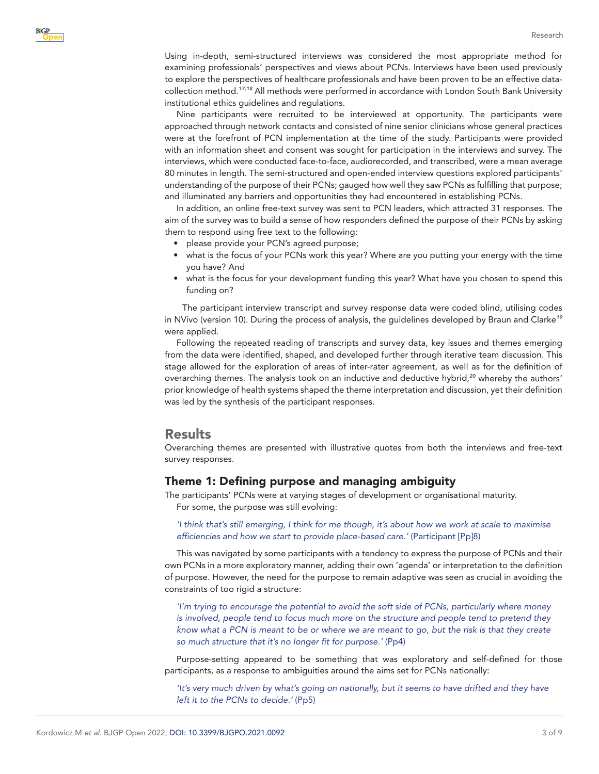Using in-depth, semi-structured interviews was considered the most appropriate method for examining professionals' perspectives and views about PCNs. Interviews have been used previously to explore the perspectives of healthcare professionals and have been proven to be an effective datacollection method.*[17,18](#page-8-4)* All methods were performed in accordance with London South Bank University institutional ethics guidelines and regulations.

Nine participants were recruited to be interviewed at opportunity. The participants were approached through network contacts and consisted of nine senior clinicians whose general practices were at the forefront of PCN implementation at the time of the study. Participants were provided with an information sheet and consent was sought for participation in the interviews and survey. The interviews, which were conducted face-to-face, audiorecorded, and transcribed, were a mean average 80 minutes in length. The semi-structured and open-ended interview questions explored participants' understanding of the purpose of their PCNs; gauged how well they saw PCNs as fulfilling that purpose; and illuminated any barriers and opportunities they had encountered in establishing PCNs.

In addition, an online free-text survey was sent to PCN leaders, which attracted 31 responses. The aim of the survey was to build a sense of how responders defined the purpose of their PCNs by asking them to respond using free text to the following:

- please provide your PCN's agreed purpose;
- what is the focus of your PCNs work this year? Where are you putting your energy with the time you have? And
- what is the focus for your development funding this year? What have you chosen to spend this funding on?

The participant interview transcript and survey response data were coded blind, utilising codes in NVivo (version 10). During the process of analysis, the guidelines developed by Braun and Clarke*[19](#page-8-5)* were applied.

Following the repeated reading of transcripts and survey data, key issues and themes emerging from the data were identified, shaped, and developed further through iterative team discussion. This stage allowed for the exploration of areas of inter-rater agreement, as well as for the definition of overarching themes. The analysis took on an inductive and deductive hybrid,*[20](#page-8-6)* whereby the authors' prior knowledge of health systems shaped the theme interpretation and discussion, yet their definition was led by the synthesis of the participant responses.

#### **Results**

Overarching themes are presented with illustrative quotes from both the interviews and free-text survey responses.

#### Theme 1: Defining purpose and managing ambiguity

The participants' PCNs were at varying stages of development or organisational maturity.

For some, the purpose was still evolving:

*'I think that's still emerging, I think for me though, it's about how we work at scale to maximise efficiencies and how we start to provide place-based care.'* (Participant [Pp]8)

This was navigated by some participants with a tendency to express the purpose of PCNs and their own PCNs in a more exploratory manner, adding their own 'agenda' or interpretation to the definition of purpose. However, the need for the purpose to remain adaptive was seen as crucial in avoiding the constraints of too rigid a structure:

*'I'm trying to encourage the potential to avoid the soft side of PCNs, particularly where money is involved, people tend to focus much more on the structure and people tend to pretend they know what a PCN is meant to be or where we are meant to go, but the risk is that they create so much structure that it's no longer fit for purpose.'* (Pp4)

Purpose-setting appeared to be something that was exploratory and self-defined for those participants, as a response to ambiguities around the aims set for PCNs nationally:

*'It's very much driven by what's going on nationally, but it seems to have drifted and they have left it to the PCNs to decide.'* (Pp5)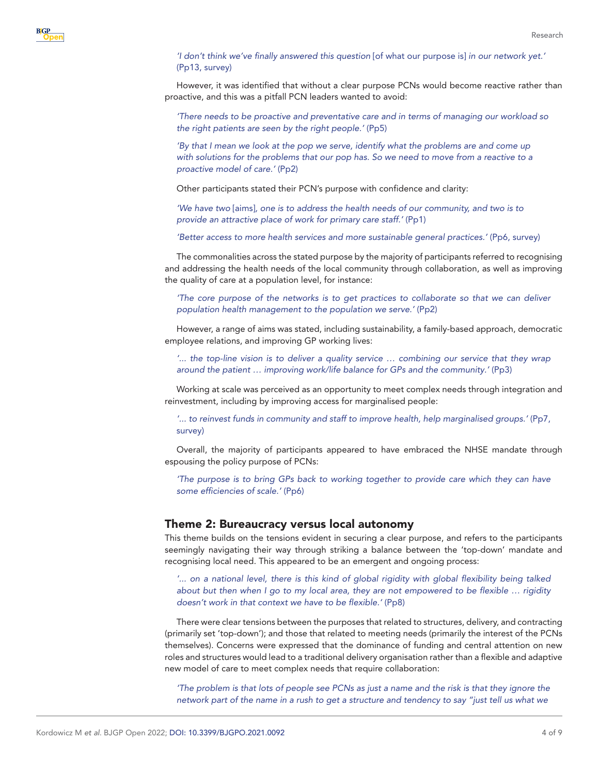#### *'I don't think we've finally answered this question* [of what our purpose is] *in our network yet.'* (Pp13, survey)

However, it was identified that without a clear purpose PCNs would become reactive rather than proactive, and this was a pitfall PCN leaders wanted to avoid:

*'There needs to be proactive and preventative care and in terms of managing our workload so the right patients are seen by the right people.'* (Pp5)

'By that I mean we look at the pop we serve, identify what the problems are and come up *with solutions for the problems that our pop has. So we need to move from a reactive to a proactive model of care.'* (Pp2)

Other participants stated their PCN's purpose with confidence and clarity:

*'We have two* [aims]*, one is to address the health needs of our community, and two is to provide an attractive place of work for primary care staff.'* (Pp1)

*'Better access to more health services and more sustainable general practices.'* (Pp6, survey)

The commonalities across the stated purpose by the majority of participants referred to recognising and addressing the health needs of the local community through collaboration, as well as improving the quality of care at a population level, for instance:

*'The core purpose of the networks is to get practices to collaborate so that we can deliver population health management to the population we serve.'* (Pp2)

However, a range of aims was stated, including sustainability, a family-based approach, democratic employee relations, and improving GP working lives:

*'... the top-line vision is to deliver a quality service … combining our service that they wrap around the patient … improving work/life balance for GPs and the community.'* (Pp3)

Working at scale was perceived as an opportunity to meet complex needs through integration and reinvestment, including by improving access for marginalised people:

*'... to reinvest funds in community and staff to improve health, help marginalised groups.'* (Pp7, survey)

Overall, the majority of participants appeared to have embraced the NHSE mandate through espousing the policy purpose of PCNs:

*'The purpose is to bring GPs back to working together to provide care which they can have some efficiencies of scale.'* (Pp6)

#### Theme 2: Bureaucracy versus local autonomy

This theme builds on the tensions evident in securing a clear purpose, and refers to the participants seemingly navigating their way through striking a balance between the 'top-down' mandate and recognising local need. This appeared to be an emergent and ongoing process:

*'... on a national level, there is this kind of global rigidity with global flexibility being talked about but then when I go to my local area, they are not empowered to be flexible … rigidity doesn't work in that context we have to be flexible.'* (Pp8)

There were clear tensions between the purposes that related to structures, delivery, and contracting (primarily set 'top-down'); and those that related to meeting needs (primarily the interest of the PCNs themselves). Concerns were expressed that the dominance of funding and central attention on new roles and structures would lead to a traditional delivery organisation rather than a flexible and adaptive new model of care to meet complex needs that require collaboration:

*'The problem is that lots of people see PCNs as just a name and the risk is that they ignore the network part of the name in a rush to get a structure and tendency to say "just tell us what we*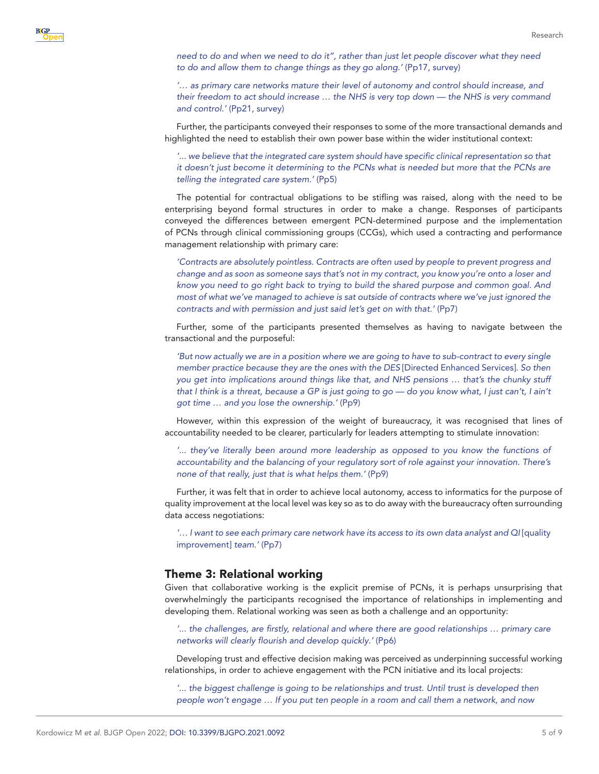*need to do and when we need to do it", rather than just let people discover what they need to do and allow them to change things as they go along.'* (Pp17, survey)

*'… as primary care networks mature their level of autonomy and control should increase, and their freedom to act should increase … the NHS is very top down — the NHS is very command and control.'* (Pp21, survey)

Further, the participants conveyed their responses to some of the more transactional demands and highlighted the need to establish their own power base within the wider institutional context:

*'... we believe that the integrated care system should have specific clinical representation so that it doesn't just become it determining to the PCNs what is needed but more that the PCNs are telling the integrated care system.'* (Pp5)

The potential for contractual obligations to be stifling was raised, along with the need to be enterprising beyond formal structures in order to make a change. Responses of participants conveyed the differences between emergent PCN-determined purpose and the implementation of PCNs through clinical commissioning groups (CCGs), which used a contracting and performance management relationship with primary care:

*'Contracts are absolutely pointless. Contracts are often used by people to prevent progress and change and as soon as someone says that's not in my contract, you know you're onto a loser and know you need to go right back to trying to build the shared purpose and common goal. And most of what we've managed to achieve is sat outside of contracts where we've just ignored the contracts and with permission and just said let's get on with that.'* (Pp7)

Further, some of the participants presented themselves as having to navigate between the transactional and the purposeful:

*'But now actually we are in a position where we are going to have to sub-contract to every single member practice because they are the ones with the DES* [Directed Enhanced Services]*. So then you get into implications around things like that, and NHS pensions … that's the chunky stuff that I think is a threat, because a GP is just going to go — do you know what, I just can't, I ain't got time … and you lose the ownership.'* (Pp9)

However, within this expression of the weight of bureaucracy, it was recognised that lines of accountability needed to be clearer, particularly for leaders attempting to stimulate innovation:

'... they've literally been around more leadership as opposed to you know the functions of *accountability and the balancing of your regulatory sort of role against your innovation. There's none of that really, just that is what helps them.'* (Pp9)

Further, it was felt that in order to achieve local autonomy, access to informatics for the purpose of quality improvement at the local level was key so as to do away with the bureaucracy often surrounding data access negotiations:

*'… I want to see each primary care network have its access to its own data analyst and QI* [quality improvement] *team.'* (Pp7)

#### Theme 3: Relational working

Given that collaborative working is the explicit premise of PCNs, it is perhaps unsurprising that overwhelmingly the participants recognised the importance of relationships in implementing and developing them. Relational working was seen as both a challenge and an opportunity:

*'... the challenges, are firstly, relational and where there are good relationships … primary care networks will clearly flourish and develop quickly.'* (Pp6)

Developing trust and effective decision making was perceived as underpinning successful working relationships, in order to achieve engagement with the PCN initiative and its local projects:

*'... the biggest challenge is going to be relationships and trust. Until trust is developed then people won't engage … If you put ten people in a room and call them a network, and now*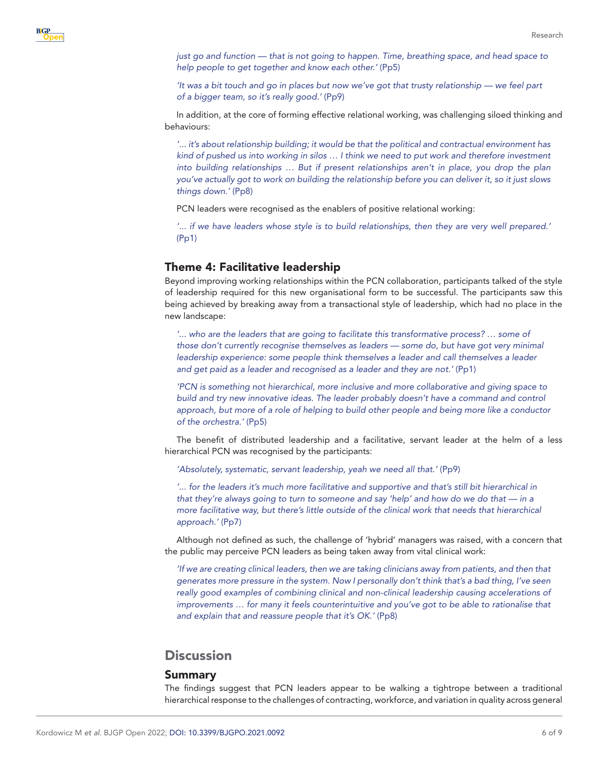*just go and function — that is not going to happen. Time, breathing space, and head space to help people to get together and know each other.'* (Pp5)

*'It was a bit touch and go in places but now we've got that trusty relationship — we feel part of a bigger team, so it's really good.'* (Pp9)

In addition, at the core of forming effective relational working, was challenging siloed thinking and behaviours:

*'... it's about relationship building; it would be that the political and contractual environment has kind of pushed us into working in silos … I think we need to put work and therefore investment into building relationships … But if present relationships aren't in place, you drop the plan you've actually got to work on building the relationship before you can deliver it, so it just slows things down.'* (Pp8)

PCN leaders were recognised as the enablers of positive relational working:

*'... if we have leaders whose style is to build relationships, then they are very well prepared.'* (Pp1)

#### Theme 4: Facilitative leadership

Beyond improving working relationships within the PCN collaboration, participants talked of the style of leadership required for this new organisational form to be successful. The participants saw this being achieved by breaking away from a transactional style of leadership, which had no place in the new landscape:

*'... who are the leaders that are going to facilitate this transformative process? … some of those don't currently recognise themselves as leaders — some do, but have got very minimal leadership experience: some people think themselves a leader and call themselves a leader and get paid as a leader and recognised as a leader and they are not.'* (Pp1)

*'PCN is something not hierarchical, more inclusive and more collaborative and giving space to build and try new innovative ideas. The leader probably doesn't have a command and control approach, but more of a role of helping to build other people and being more like a conductor of the orchestra.'* (Pp5)

The benefit of distributed leadership and a facilitative, servant leader at the helm of a less hierarchical PCN was recognised by the participants:

*'Absolutely, systematic, servant leadership, yeah we need all that.'* (Pp9)

*'... for the leaders it's much more facilitative and supportive and that's still bit hierarchical in that they're always going to turn to someone and say 'help' and how do we do that — in a more facilitative way, but there's little outside of the clinical work that needs that hierarchical approach.'* (Pp7)

Although not defined as such, the challenge of 'hybrid' managers was raised, with a concern that the public may perceive PCN leaders as being taken away from vital clinical work:

*'If we are creating clinical leaders, then we are taking clinicians away from patients, and then that generates more pressure in the system. Now I personally don't think that's a bad thing, I've seen really good examples of combining clinical and non-clinical leadership causing accelerations of improvements … for many it feels counterintuitive and you've got to be able to rationalise that and explain that and reassure people that it's OK.'* (Pp8)

## **Discussion**

#### Summary

The findings suggest that PCN leaders appear to be walking a tightrope between a traditional hierarchical response to the challenges of contracting, workforce, and variation in quality across general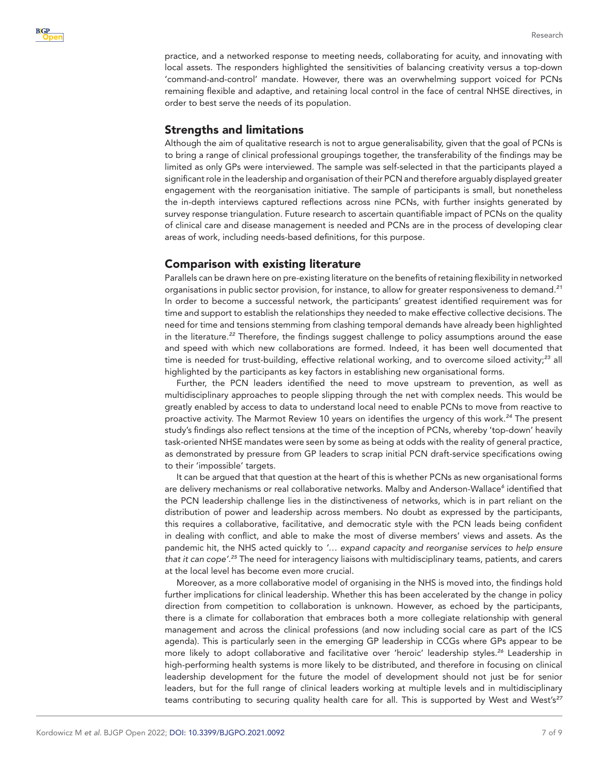

practice, and a networked response to meeting needs, collaborating for acuity, and innovating with local assets. The responders highlighted the sensitivities of balancing creativity versus a top-down 'command-and-control' mandate. However, there was an overwhelming support voiced for PCNs remaining flexible and adaptive, and retaining local control in the face of central NHSE directives, in order to best serve the needs of its population.

## Strengths and limitations

Although the aim of qualitative research is not to argue generalisability, given that the goal of PCNs is to bring a range of clinical professional groupings together, the transferability of the findings may be limited as only GPs were interviewed. The sample was self-selected in that the participants played a significant role in the leadership and organisation of their PCN and therefore arguably displayed greater engagement with the reorganisation initiative. The sample of participants is small, but nonetheless the in-depth interviews captured reflections across nine PCNs, with further insights generated by survey response triangulation. Future research to ascertain quantifiable impact of PCNs on the quality of clinical care and disease management is needed and PCNs are in the process of developing clear areas of work, including needs-based definitions, for this purpose.

## Comparison with existing literature

Parallels can be drawn here on pre-existing literature on the benefits of retaining flexibility in networked organisations in public sector provision, for instance, to allow for greater responsiveness to demand.*[21](#page-8-7)* In order to become a successful network, the participants' greatest identified requirement was for time and support to establish the relationships they needed to make effective collective decisions. The need for time and tensions stemming from clashing temporal demands have already been highlighted in the literature.*[22](#page-8-8)* Therefore, the findings suggest challenge to policy assumptions around the ease and speed with which new collaborations are formed. Indeed, it has been well documented that time is needed for trust-building, effective relational working, and to overcome siloed activity;*[23](#page-8-9)* all highlighted by the participants as key factors in establishing new organisational forms.

Further, the PCN leaders identified the need to move upstream to prevention, as well as multidisciplinary approaches to people slipping through the net with complex needs. This would be greatly enabled by access to data to understand local need to enable PCNs to move from reactive to proactive activity. The Marmot Review 10 years on identifies the urgency of this work.*[24](#page-8-10)* The present study's findings also reflect tensions at the time of the inception of PCNs, whereby 'top-down' heavily task-oriented NHSE mandates were seen by some as being at odds with the reality of general practice, as demonstrated by pressure from GP leaders to scrap initial PCN draft-service specifications owing to their 'impossible' targets.

It can be argued that that question at the heart of this is whether PCNs as new organisational forms are delivery mechanisms or real collaborative networks. Malby and Anderson-Wallace*[6](#page-7-2)* identified that the PCN leadership challenge lies in the distinctiveness of networks, which is in part reliant on the distribution of power and leadership across members. No doubt as expressed by the participants, this requires a collaborative, facilitative, and democratic style with the PCN leads being confident in dealing with conflict, and able to make the most of diverse members' views and assets. As the pandemic hit, the NHS acted quickly to *'… expand capacity and reorganise services to help ensure that it can cope'*. *[25](#page-8-11)* The need for interagency liaisons with multidisciplinary teams, patients, and carers at the local level has become even more crucial.

Moreover, as a more collaborative model of organising in the NHS is moved into, the findings hold further implications for clinical leadership. Whether this has been accelerated by the change in policy direction from competition to collaboration is unknown. However, as echoed by the participants, there is a climate for collaboration that embraces both a more collegiate relationship with general management and across the clinical professions (and now including social care as part of the ICS agenda). This is particularly seen in the emerging GP leadership in CCGs where GPs appear to be more likely to adopt collaborative and facilitative over 'heroic' leadership styles.*[26](#page-8-12)* Leadership in high-performing health systems is more likely to be distributed, and therefore in focusing on clinical leadership development for the future the model of development should not just be for senior leaders, but for the full range of clinical leaders working at multiple levels and in multidisciplinary teams contributing to securing quality health care for all. This is supported by West and West's*[27](#page-8-13)*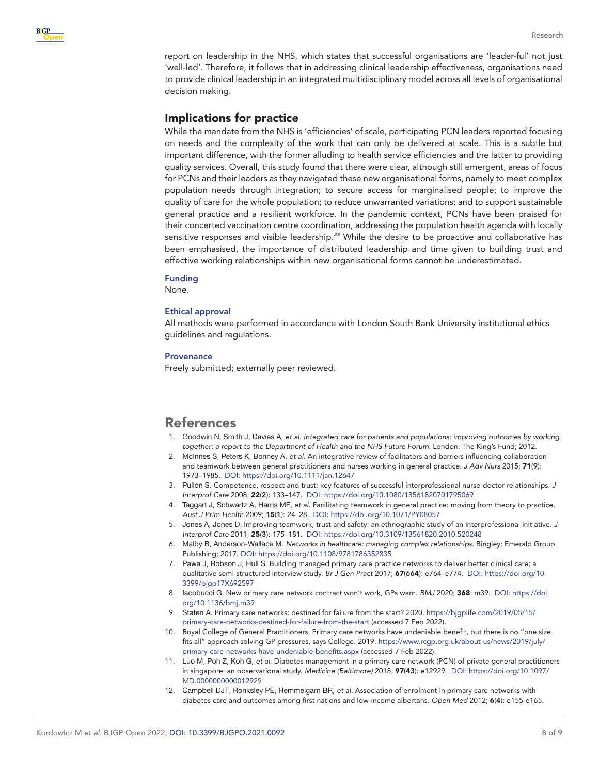

report on leadership in the NHS, which states that successful organisations are 'leader-ful' not just 'well-led'. Therefore, it follows that in addressing clinical leadership effectiveness, organisations need to provide clinical leadership in an integrated multidisciplinary model across all levels of organisational decision making.

## Implications for practice

While the mandate from the NHS is 'efficiencies' of scale, participating PCN leaders reported focusing on needs and the complexity of the work that can only be delivered at scale. This is a subtle but important difference, with the former alluding to health service efficiencies and the latter to providing quality services. Overall, this study found that there were clear, although still emergent, areas of focus for PCNs and their leaders as they navigated these new organisational forms, namely to meet complex population needs through integration; to secure access for marginalised people; to improve the quality of care for the whole population; to reduce unwarranted variations; and to support sustainable general practice and a resilient workforce. In the pandemic context, PCNs have been praised for their concerted vaccination centre coordination, addressing the population health agenda with locally sensitive responses and visible leadership.*[28](#page-8-14)* While the desire to be proactive and collaborative has been emphasised, the importance of distributed leadership and time given to building trust and effective working relationships within new organisational forms cannot be underestimated.

#### Funding

None.

#### Ethical approval

All methods were performed in accordance with London South Bank University institutional ethics guidelines and regulations.

#### Provenance

Freely submitted; externally peer reviewed.

# References

- <span id="page-7-0"></span>1. Goodwin N, Smith J, Davies A, *et al*. *Integrated care for patients and populations: improving outcomes by working together: a report to the Department of Health and the NHS Future Forum*. London: The King's Fund; 2012.
- <span id="page-7-1"></span>2. McInnes S, Peters K, Bonney A, *et al*. An integrative review of facilitators and barriers influencing collaboration and teamwork between general practitioners and nurses working in general practice. *J Adv Nurs* 2015; 71(9): 1973–1985. DOI: <https://doi.org/10.1111/jan.12647>
- 3. Pullon S. Competence, respect and trust: key features of successful interprofessional nurse-doctor relationships. *J Interprof Care* 2008; 22(2): 133–147. DOI:<https://doi.org/10.1080/13561820701795069>
- 4. Taggart J, Schwartz A, Harris MF, *et al*. Facilitating teamwork in general practice: moving from theory to practice. *Aust J Prim Health* 2009; 15(1): 24–28. DOI:<https://doi.org/10.1071/PY08057>
- 5. Jones A, Jones D. Improving teamwork, trust and safety: an ethnographic study of an interprofessional initiative. *J Interprof Care* 2011; 25(3): 175–181. DOI:<https://doi.org/10.3109/13561820.2010.520248>
- <span id="page-7-2"></span>6. Malby B, Anderson-Wallace M. *Networks in healthcare: managing complex relationships*. Bingley: Emerald Group Publishing; 2017. DOI:<https://doi.org/10.1108/9781786352835>
- <span id="page-7-3"></span>7. Pawa J, Robson J, Hull S. Building managed primary care practice networks to deliver better clinical care: a qualitative semi-structured interview study. *Br J Gen Pract* 2017; 67(664): e764–e774. DOI: [https://doi.org/10.](https://doi.org/10.3399/bjgp17X692597) [3399/bjgp17X692597](https://doi.org/10.3399/bjgp17X692597)
- <span id="page-7-4"></span>8. Iacobucci G. New primary care network contract won't work, GPs warn. *BMJ* 2020; 368: m39. DOI: [https://doi.](https://doi.org/10.1136/bmj.m39) [org/10.1136/bmj.m39](https://doi.org/10.1136/bmj.m39)
- 9. Staten A. Primary care networks: destined for failure from the start? 2020. [https://bjgplife.com/2019/05/15/](https://bjgplife.com/2019/05/15/primary-care-networks-destined-for-failure-from-the-start) [primary-care-networks-destined-for-failure-from-the-start](https://bjgplife.com/2019/05/15/primary-care-networks-destined-for-failure-from-the-start) (accessed 7 Feb 2022).
- <span id="page-7-5"></span>10. Royal College of General Practitioners. Primary care networks have undeniable benefit, but there is no "one size fits all" approach solving GP pressures, says College. 2019. [https://www.rcgp.org.uk/about-us/news/2019/july/](https://www.rcgp.org.uk/about-us/news/2019/july/primary-care-networks-have-undeniable-benefits.aspx) [primary-care-networks-have-undeniable-benefits.aspx](https://www.rcgp.org.uk/about-us/news/2019/july/primary-care-networks-have-undeniable-benefits.aspx) (accessed 7 Feb 2022).
- <span id="page-7-6"></span>11. Luo M, Poh Z, Koh G, *et al*. Diabetes management in a primary care network (PCN) of private general practitioners in singapore: an observational study. *Medicine (Baltimore)* 2018; 97(43): e12929. DOI: [https://doi.org/10.1097/](https://doi.org/10.1097/MD.0000000000012929) [MD.0000000000012929](https://doi.org/10.1097/MD.0000000000012929)
- <span id="page-7-7"></span>12. Campbell DJT, Ronksley PE, Hemmelgarn BR, *et al*. Association of enrolment in primary care networks with diabetes care and outcomes among first nations and low-income albertans. *Open Med* 2012; 6(4): e155-e165.